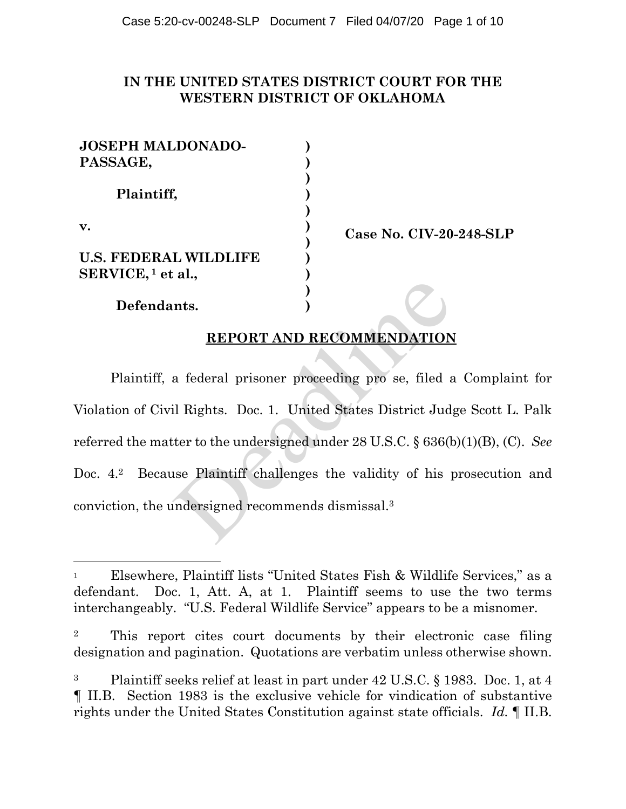## **IN THE UNITED STATES DISTRICT COURT FOR THE WESTERN DISTRICT OF OKLAHOMA**

| <b>JOSEPH MALDONADO-</b><br>PASSAGE,                          |  |
|---------------------------------------------------------------|--|
| Plaintiff,                                                    |  |
| v.                                                            |  |
| <b>U.S. FEDERAL WILDLIFE</b><br>SERVICE, <sup>1</sup> et al., |  |
| Defendants.                                                   |  |

**Case No. CIV-20-248-SLP** 

# **REPORT AND RECOMMENDATION**

Plaintiff, a federal prisoner proceeding pro se, filed a Complaint for Violation of Civil Rights. Doc. 1. United States District Judge Scott L. Palk referred the matter to the undersigned under 28 U.S.C. § 636(b)(1)(B), (C). *See* Doc. 4.<sup>2</sup> Because Plaintiff challenges the validity of his prosecution and conviction, the undersigned recommends dismissal.3 nts. )<br> **REPORT AND RECOMMENDATION**<br>
a federal prisoner proceeding pro se, filed a<br>
il Rights. Doc. 1. United States District Jud;<br>
ter to the undersigned under 28 U.S.C. § 636(k<br>
use Plaintiff challenges the validity of h

<sup>1</sup> Elsewhere, Plaintiff lists "United States Fish & Wildlife Services," as a defendant. Doc. 1, Att. A, at 1. Plaintiff seems to use the two terms interchangeably. "U.S. Federal Wildlife Service" appears to be a misnomer.

<sup>2</sup> This report cites court documents by their electronic case filing designation and pagination. Quotations are verbatim unless otherwise shown.

<sup>3</sup> Plaintiff seeks relief at least in part under 42 U.S.C. § 1983. Doc. 1, at 4 ¶ II.B. Section 1983 is the exclusive vehicle for vindication of substantive rights under the United States Constitution against state officials. *Id.* ¶ II.B.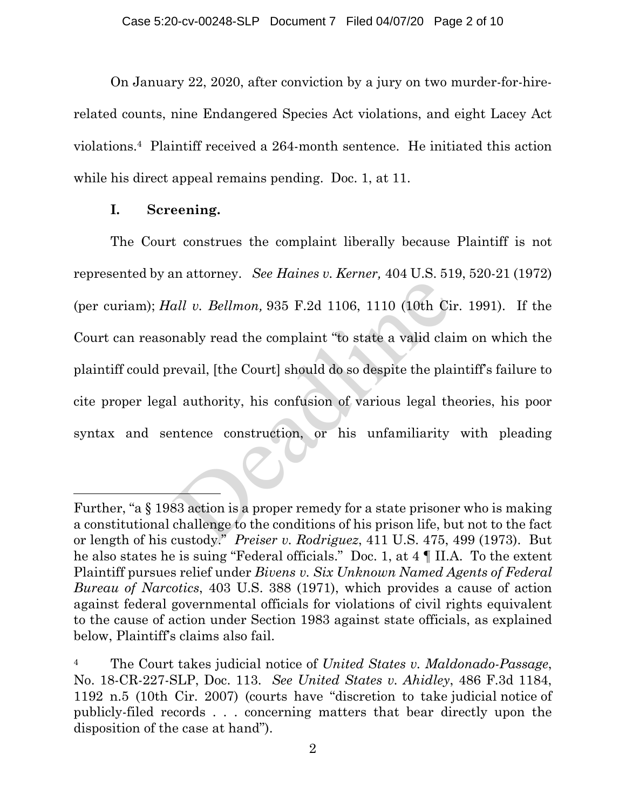On January 22, 2020, after conviction by a jury on two murder-for-hirerelated counts, nine Endangered Species Act violations, and eight Lacey Act violations.4 Plaintiff received a 264-month sentence. He initiated this action while his direct appeal remains pending. Doc. 1, at 11.

## **I. Screening.**

 The Court construes the complaint liberally because Plaintiff is not represented by an attorney. *See Haines v. Kerner,* 404 U.S. 519, 520-21 (1972) (per curiam); *Hall v. Bellmon,* 935 F.2d 1106, 1110 (10th Cir. 1991). If the Court can reasonably read the complaint "to state a valid claim on which the plaintiff could prevail, [the Court] should do so despite the plaintiff's failure to cite proper legal authority, his confusion of various legal theories, his poor syntax and sentence construction, or his unfamiliarity with pleading *all v. Bellmon*, 935 F.2d 1106, 1110 (10th Cinably read the complaint "to state a valid clainty revail, [the Court] should do so despite the plane and authority, his confusion of various legal the numerical state constru

Further, "a § 1983 action is a proper remedy for a state prisoner who is making a constitutional challenge to the conditions of his prison life, but not to the fact or length of his custody." *Preiser v. Rodriguez*, 411 U.S. 475, 499 (1973). But he also states he is suing "Federal officials." Doc. 1, at 4 ¶ II.A. To the extent Plaintiff pursues relief under *Bivens v. Six Unknown Named Agents of Federal Bureau of Narcotics*, 403 U.S. 388 (1971), which provides a cause of action against federal governmental officials for violations of civil rights equivalent to the cause of action under Section 1983 against state officials, as explained below, Plaintiff's claims also fail.

<sup>4</sup> The Court takes judicial notice of *United States v. Maldonado-Passage*, No. 18-CR-227-SLP, Doc. 113. *See United States v. Ahidley*, 486 F.3d 1184, 1192 n.5 (10th Cir. 2007) (courts have "discretion to take judicial notice of publicly-filed records . . . concerning matters that bear directly upon the disposition of the case at hand").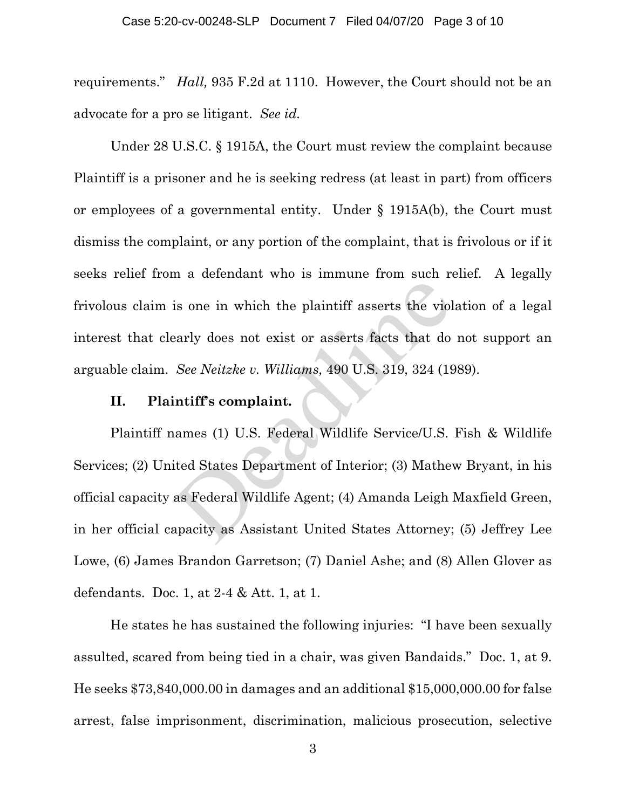requirements." *Hall,* 935 F.2d at 1110. However, the Court should not be an advocate for a pro se litigant. *See id.* 

Under 28 U.S.C. § 1915A, the Court must review the complaint because Plaintiff is a prisoner and he is seeking redress (at least in part) from officers or employees of a governmental entity. Under § 1915A(b), the Court must dismiss the complaint, or any portion of the complaint, that is frivolous or if it seeks relief from a defendant who is immune from such relief. A legally frivolous claim is one in which the plaintiff asserts the violation of a legal interest that clearly does not exist or asserts facts that do not support an arguable claim. *See Neitzke v. Williams,* 490 U.S. 319, 324 (1989).

### **II. Plaintiff's complaint.**

Plaintiff names (1) U.S. Federal Wildlife Service/U.S. Fish & Wildlife Services; (2) United States Department of Interior; (3) Mathew Bryant, in his official capacity as Federal Wildlife Agent; (4) Amanda Leigh Maxfield Green, in her official capacity as Assistant United States Attorney; (5) Jeffrey Lee Lowe, (6) James Brandon Garretson; (7) Daniel Ashe; and (8) Allen Glover as defendants. Doc. 1, at 2-4 & Att. 1, at 1. is one in which the plaintiff asserts the viol<br>early does not exist or asserts facts that do<br>See Neitzke v. Williams, 490 U.S. 319, 324 (19)<br>intiff's complaint.<br>names (1) U.S. Federal Wildlife Service/U.S.<br>ited States Depa

He states he has sustained the following injuries: "I have been sexually assulted, scared from being tied in a chair, was given Bandaids." Doc. 1, at 9. He seeks \$73,840,000.00 in damages and an additional \$15,000,000.00 for false arrest, false imprisonment, discrimination, malicious prosecution, selective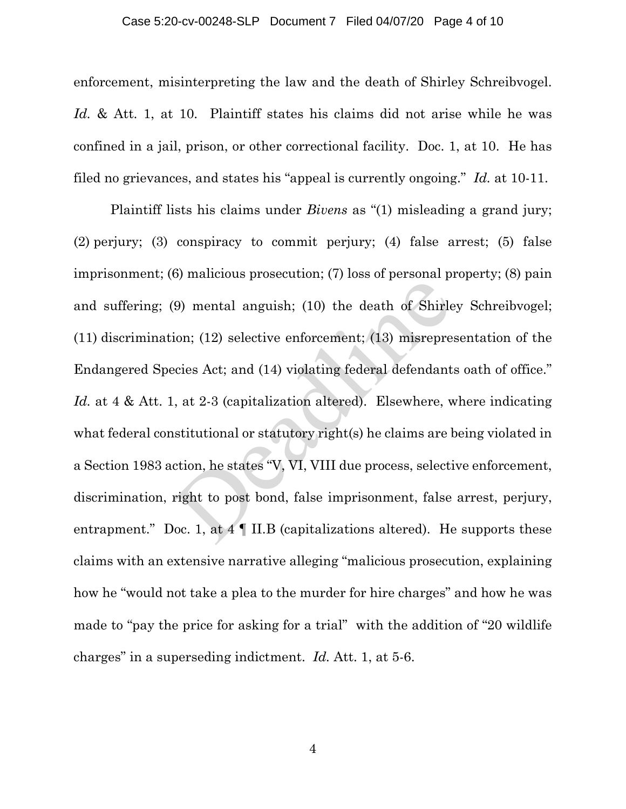#### Case 5:20-cv-00248-SLP Document 7 Filed 04/07/20 Page 4 of 10

enforcement, misinterpreting the law and the death of Shirley Schreibvogel. *Id.* & Att. 1, at 10. Plaintiff states his claims did not arise while he was confined in a jail, prison, or other correctional facility. Doc. 1, at 10. He has filed no grievances, and states his "appeal is currently ongoing." *Id.* at 10-11.

 Plaintiff lists his claims under *Bivens* as "(1) misleading a grand jury; (2) perjury; (3) conspiracy to commit perjury; (4) false arrest; (5) false imprisonment; (6) malicious prosecution; (7) loss of personal property; (8) pain and suffering; (9) mental anguish; (10) the death of Shirley Schreibvogel; (11) discrimination; (12) selective enforcement; (13) misrepresentation of the Endangered Species Act; and (14) violating federal defendants oath of office." Id. at 4 & Att. 1, at 2-3 (capitalization altered). Elsewhere, where indicating what federal constitutional or statutory right(s) he claims are being violated in a Section 1983 action, he states "V, VI, VIII due process, selective enforcement, discrimination, right to post bond, false imprisonment, false arrest, perjury, entrapment." Doc. 1, at  $4 \parallel$  II.B (capitalizations altered). He supports these claims with an extensive narrative alleging "malicious prosecution, explaining how he "would not take a plea to the murder for hire charges" and how he was made to "pay the price for asking for a trial" with the addition of "20 wildlife charges" in a superseding indictment. *Id.* Att. 1, at 5-6. (9) mental anguish; (10) the death of Shirle<br>ion; (12) selective enforcement; (13) misrepre<br>ecies Act; and (14) violating federal defendant<br>., at 2-3 (capitalization altered). Elsewhere, v<br>stitutional or statutory right(s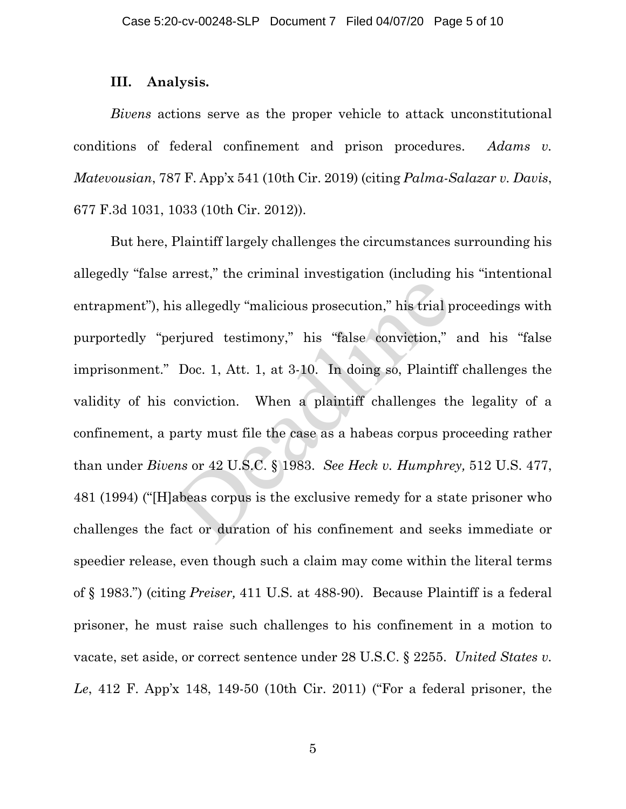### **III. Analysis.**

*Bivens* actions serve as the proper vehicle to attack unconstitutional conditions of federal confinement and prison procedures. *Adams v. Matevousian*, 787 F. App'x 541 (10th Cir. 2019) (citing *Palma-Salazar v. Davis*, 677 F.3d 1031, 1033 (10th Cir. 2012)).

But here, Plaintiff largely challenges the circumstances surrounding his allegedly "false arrest," the criminal investigation (including his "intentional entrapment"), his allegedly "malicious prosecution," his trial proceedings with purportedly "perjured testimony," his "false conviction," and his "false imprisonment." Doc. 1, Att. 1, at 3-10. In doing so, Plaintiff challenges the validity of his conviction. When a plaintiff challenges the legality of a confinement, a party must file the case as a habeas corpus proceeding rather than under *Bivens* or 42 U.S.C. § 1983. *See Heck v. Humphrey,* 512 U.S. 477, 481 (1994) ("[H]abeas corpus is the exclusive remedy for a state prisoner who challenges the fact or duration of his confinement and seeks immediate or speedier release, even though such a claim may come within the literal terms of § 1983.") (citing *Preiser,* 411 U.S. at 488-90). Because Plaintiff is a federal prisoner, he must raise such challenges to his confinement in a motion to vacate, set aside, or correct sentence under 28 U.S.C. § 2255. *United States v. Le*, 412 F. App'x 148, 149-50 (10th Cir. 2011) ("For a federal prisoner, the is allegedly "malicious prosecution," his trial perjured testimony," his "false conviction,"<br>Doc. 1, Att. 1, at 3-10. In doing so, Plaintiff<br>conviction. When a plaintiff challenges the party must file the case as a habeas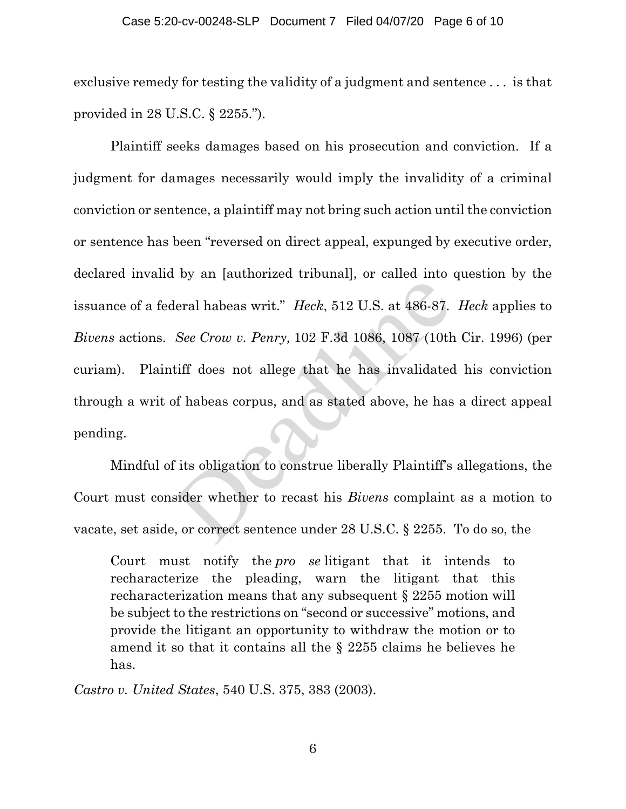#### Case 5:20-cv-00248-SLP Document 7 Filed 04/07/20 Page 6 of 10

exclusive remedy for testing the validity of a judgment and sentence . . . is that provided in 28 U.S.C. § 2255.").

Plaintiff seeks damages based on his prosecution and conviction. If a judgment for damages necessarily would imply the invalidity of a criminal conviction or sentence, a plaintiff may not bring such action until the conviction or sentence has been "reversed on direct appeal, expunged by executive order, declared invalid by an [authorized tribunal], or called into question by the issuance of a federal habeas writ." *Heck*, 512 U.S. at 486-87. *Heck* applies to *Bivens* actions. *See Crow v. Penry,* 102 F.3d 1086, 1087 (10th Cir. 1996) (per curiam). Plaintiff does not allege that he has invalidated his conviction through a writ of habeas corpus, and as stated above, he has a direct appeal pending. deral habeas writ." *Heck*, 512 U.S. at 486-87.<br>See Crow v. Penry, 102 F.3d 1086, 1087 (10th<br>tiff does not allege that he has invalidated<br>of habeas corpus, and as stated above, he has<br>f its obligation to construe liberally

Mindful of its obligation to construe liberally Plaintiff's allegations, the Court must consider whether to recast his *Bivens* complaint as a motion to vacate, set aside, or correct sentence under 28 U.S.C. § 2255. To do so, the

Court must notify the *pro se* litigant that it intends to recharacterize the pleading, warn the litigant that this recharacterization means that any subsequent § 2255 motion will be subject to the restrictions on "second or successive" motions, and provide the litigant an opportunity to withdraw the motion or to amend it so that it contains all the § 2255 claims he believes he has.

*Castro v. United States*, 540 U.S. 375, 383 (2003).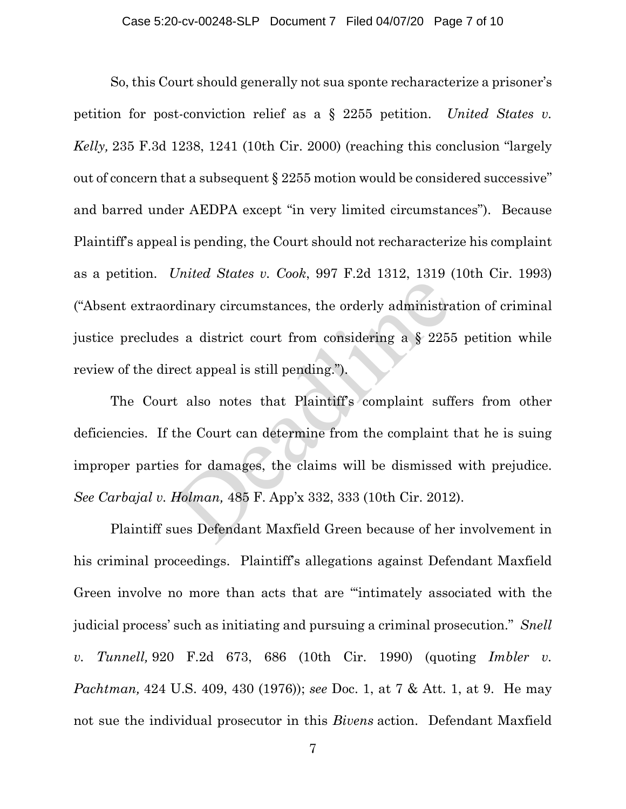So, this Court should generally not sua sponte recharacterize a prisoner's petition for post-conviction relief as a § 2255 petition. *United States v. Kelly,* 235 F.3d 1238, 1241 (10th Cir. 2000) (reaching this conclusion "largely out of concern that a subsequent § 2255 motion would be considered successive" and barred under AEDPA except "in very limited circumstances"). Because Plaintiff's appeal is pending, the Court should not recharacterize his complaint as a petition. *United States v. Cook*, 997 F.2d 1312, 1319 (10th Cir. 1993) ("Absent extraordinary circumstances, the orderly administration of criminal justice precludes a district court from considering a § 2255 petition while review of the direct appeal is still pending.").

The Court also notes that Plaintiff's complaint suffers from other deficiencies. If the Court can determine from the complaint that he is suing improper parties for damages, the claims will be dismissed with prejudice. *See Carbajal v. Holman,* 485 F. App'x 332, 333 (10th Cir. 2012). rdinary circumstances, the orderly administrated as a district court from considering a  $\S$  2258 eet appeal is still pending.").<br>
t also notes that Plaintiff's complaint suff<br>
the Court can determine from the complaint<br>
s

Plaintiff sues Defendant Maxfield Green because of her involvement in his criminal proceedings. Plaintiff's allegations against Defendant Maxfield Green involve no more than acts that are "'intimately associated with the judicial process' such as initiating and pursuing a criminal prosecution." *Snell v. Tunnell,* 920 F.2d 673, 686 (10th Cir. 1990) (quoting *Imbler v. Pachtman,* 424 U.S. 409, 430 (1976)); *see* Doc. 1, at 7 & Att. 1, at 9. He may not sue the individual prosecutor in this *Bivens* action. Defendant Maxfield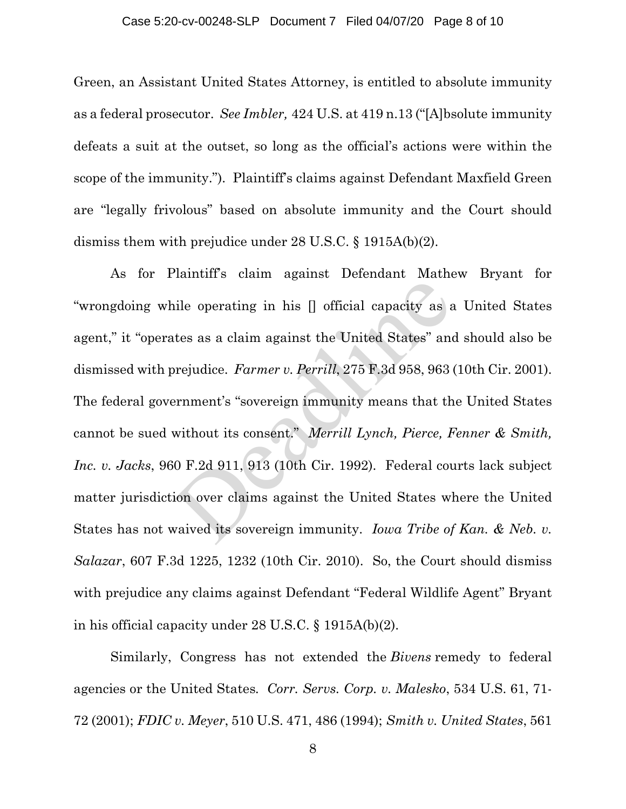#### Case 5:20-cv-00248-SLP Document 7 Filed 04/07/20 Page 8 of 10

Green, an Assistant United States Attorney, is entitled to absolute immunity as a federal prosecutor. *See Imbler,* 424 U.S. at 419 n.13 ("[A]bsolute immunity defeats a suit at the outset, so long as the official's actions were within the scope of the immunity."). Plaintiff's claims against Defendant Maxfield Green are "legally frivolous" based on absolute immunity and the Court should dismiss them with prejudice under 28 U.S.C. § 1915A(b)(2).

As for Plaintiff's claim against Defendant Mathew Bryant for "wrongdoing while operating in his [] official capacity as a United States agent," it "operates as a claim against the United States" and should also be dismissed with prejudice. *Farmer v. Perrill*, 275 F.3d 958, 963 (10th Cir. 2001). The federal government's "sovereign immunity means that the United States cannot be sued without its consent." *Merrill Lynch, Pierce, Fenner & Smith, Inc. v. Jacks*, 960 F.2d 911, 913 (10th Cir. 1992). Federal courts lack subject matter jurisdiction over claims against the United States where the United States has not waived its sovereign immunity. *Iowa Tribe of Kan. & Neb. v. Salazar*, 607 F.3d 1225, 1232 (10th Cir. 2010). So, the Court should dismiss with prejudice any claims against Defendant "Federal Wildlife Agent" Bryant in his official capacity under 28 U.S.C. § 1915A(b)(2). ile operating in his [] official capacity as a<br>ttes as a claim against the United States" and<br>prejudice. Farmer v. Perrill, 275 F.3d 958, 963<br>ernment's "sovereign immunity means that the<br>without its consent." Merrill Lynch

Similarly, Congress has not extended the *Bivens* remedy to federal agencies or the United States*. Corr. Servs. Corp. v. Malesko*, 534 U.S. 61, 71- 72 (2001); *FDIC v. Meyer*, 510 U.S. 471, 486 (1994); *Smith v. United States*, 561

8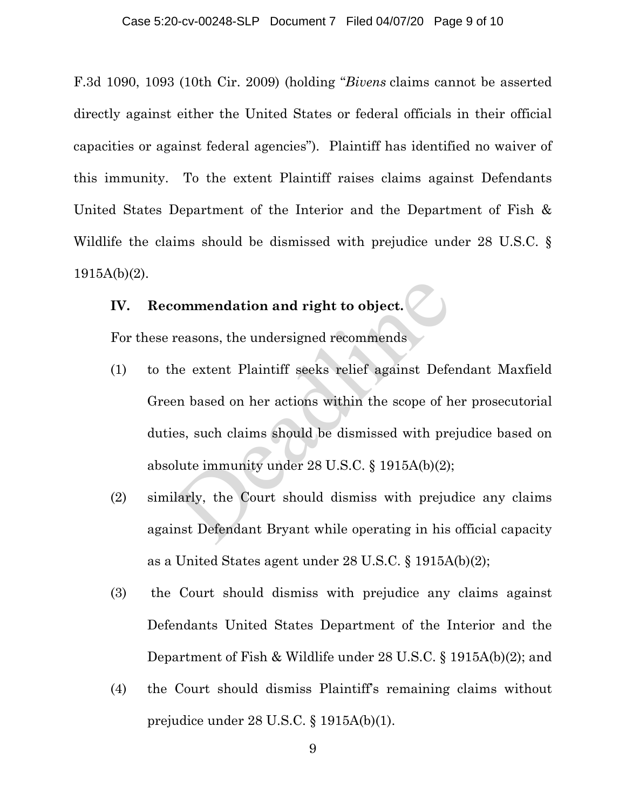F.3d 1090, 1093 (10th Cir. 2009) (holding "*Bivens* claims cannot be asserted directly against either the United States or federal officials in their official capacities or against federal agencies"). Plaintiff has identified no waiver of this immunity. To the extent Plaintiff raises claims against Defendants United States Department of the Interior and the Department of Fish & Wildlife the claims should be dismissed with prejudice under 28 U.S.C. § 1915A(b)(2).

## **IV. Recommendation and right to object.**

For these reasons, the undersigned recommends

- (1) to the extent Plaintiff seeks relief against Defendant Maxfield Green based on her actions within the scope of her prosecutorial duties, such claims should be dismissed with prejudice based on absolute immunity under 28 U.S.C. § 1915A(b)(2); ommendation and right to object.<br>
reasons, the undersigned recommends<br>
the extent Plaintiff seeks relief against Defe<br>
en based on her actions within the scope of h<br>
es, such claims should be dismissed with pre<br>
plute immu
- (2) similarly, the Court should dismiss with prejudice any claims against Defendant Bryant while operating in his official capacity as a United States agent under 28 U.S.C. § 1915A(b)(2);
- (3) the Court should dismiss with prejudice any claims against Defendants United States Department of the Interior and the Department of Fish & Wildlife under 28 U.S.C. § 1915A(b)(2); and
- (4) the Court should dismiss Plaintiff's remaining claims without prejudice under 28 U.S.C. § 1915A(b)(1).